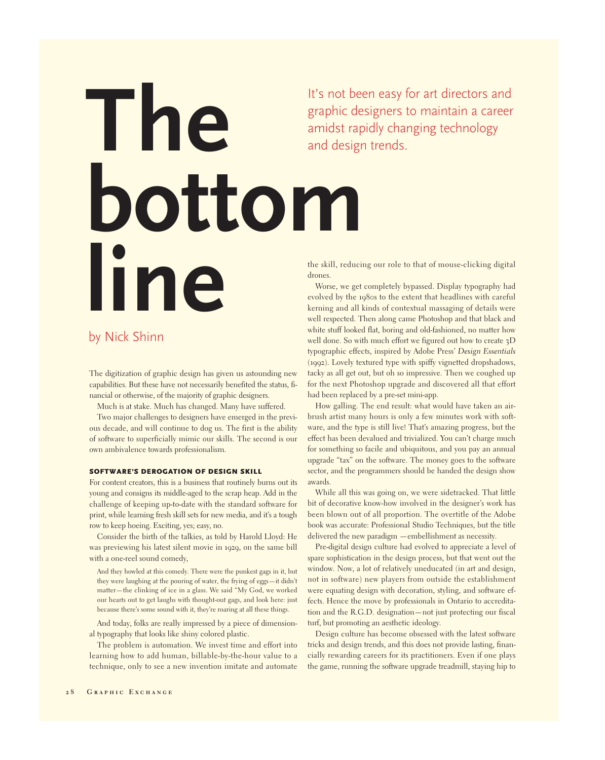# drones. **The bottom line** It's not been easy for art directors and graphic designers to maintain a career amidst rapidly changing technology and design trends.

## by Nick Shinn

The digitization of graphic design has given us astounding new capabilities. But these have not necessarily benefited the status, financial or otherwise, of the majority of graphic designers.

Much is at stake. Much has changed. Many have suffered.

Two major challenges to designers have emerged in the previous decade, and will continue to dog us. The first is the ability of software to superficially mimic our skills. The second is our own ambivalence towards professionalism.

## SOFTWARE'S DEROGATION OF DESIGN SKILL

For content creators, this is a business that routinely burns out its young and consigns its middle-aged to the scrap heap. Add in the challenge of keeping up-to-date with the standard software for print, while learning fresh skill sets for new media, and it's a tough row to keep hoeing. Exciting, yes; easy, no.

Consider the birth of the talkies, as told by Harold Lloyd: He was previewing his latest silent movie in 1929, on the same bill with a one-reel sound comedy,

And they howled at this comedy. There were the punkest gags in it, but they were laughing at the pouring of water, the frying of eggs—it didn't matter—the clinking of ice in a glass. We said "My God, we worked our hearts out to get laughs with thought-out gags, and look here: just because there's some sound with it, they're roaring at all these things.

And today, folks are really impressed by a piece of dimensional typography that looks like shiny colored plastic.

The problem is automation. We invest time and effort into learning how to add human, billable-by-the-hour value to a technique, only to see a new invention imitate and automate the skill, reducing our role to that of mouse-clicking digital

Worse, we get completely bypassed. Display typography had evolved by the 1980s to the extent that headlines with careful kerning and all kinds of contextual massaging of details were well respected. Then along came Photoshop and that black and white stuff looked flat, boring and old-fashioned, no matter how well done. So with much effort we figured out how to create 3D typographic effects, inspired by Adobe Press' *Design Essentials* (1992). Lovely textured type with spiffy vignetted dropshadows, tacky as all get out, but oh so impressive. Then we coughed up for the next Photoshop upgrade and discovered all that effort had been replaced by a pre-set mini-app.

How galling. The end result: what would have taken an airbrush artist many hours is only a few minutes work with software, and the type is still live! That's amazing progress, but the effect has been devalued and trivialized. You can't charge much for something so facile and ubiquitous, and you pay an annual upgrade "tax" on the software. The money goes to the software sector, and the programmers should be handed the design show awards.

While all this was going on, we were sidetracked. That little bit of decorative know-how involved in the designer's work has been blown out of all proportion. The overtitle of the Adobe book was accurate: Professional Studio Techniques, but the title delivered the new paradigm —embellishment as necessity.

Pre-digital design culture had evolved to appreciate a level of spare sophistication in the design process, but that went out the window. Now, a lot of relatively uneducated (in art and design, not in software) new players from outside the establishment were equating design with decoration, styling, and software effects. Hence the move by professionals in Ontario to accreditation and the R.G.D. designation—not just protecting our fiscal turf, but promoting an aesthetic ideology.

Design culture has become obsessed with the latest software tricks and design trends, and this does not provide lasting, financially rewarding careers for its practitioners. Even if one plays the game, running the software upgrade treadmill, staying hip to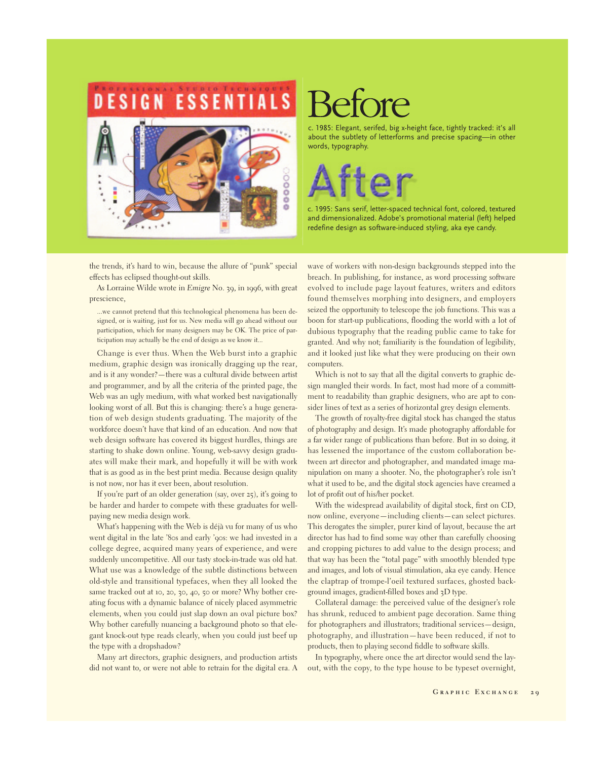#### OFFSSIONAL STUDIO TECHNIQUE **ESSE IAL** ESIGN N Т



c. 1985: Elegant, serifed, big x-height face, tightly tracked: it's all about the subtlety of letterforms and precise spacing—in other words, typography.



c. 1995: Sans serif, letter-spaced technical font, colored, textured and dimensionalized. Adobe's promotional material (left) helped redefine design as software-induced styling, aka eye candy.

the trends, it's hard to win, because the allure of "punk" special effects has eclipsed thought-out skills.

As Lorraine Wilde wrote in *Emigre* No. 39, in 1996, with great prescience,

...we cannot pretend that this technological phenomena has been designed, or is waiting, just for us. New media will go ahead without our participation, which for many designers may be OK. The price of participation may actually be the end of design as we know it...

Change is ever thus. When the Web burst into a graphic medium, graphic design was ironically dragging up the rear, and is it any wonder?—there was a cultural divide between artist and programmer, and by all the criteria of the printed page, the Web was an ugly medium, with what worked best navigationally looking worst of all. But this is changing: there's a huge generation of web design students graduating. The majority of the workforce doesn't have that kind of an education. And now that web design software has covered its biggest hurdles, things are starting to shake down online. Young, web-savvy design graduates will make their mark, and hopefully it will be with work that is as good as in the best print media. Because design quality is not now, nor has it ever been, about resolution.

If you're part of an older generation (say, over 25), it's going to be harder and harder to compete with these graduates for wellpaying new media design work.

What's happening with the Web is déjà vu for many of us who went digital in the late '80s and early '90s: we had invested in a college degree, acquired many years of experience, and were suddenly uncompetitive. All our tasty stock-in-trade was old hat. What use was a knowledge of the subtle distinctions between old-style and transitional typefaces, when they all looked the same tracked out at 10, 20, 30, 40, 50 or more? Why bother creating focus with a dynamic balance of nicely placed asymmetric elements, when you could just slap down an oval picture box? Why bother carefully nuancing a background photo so that elegant knock-out type reads clearly, when you could just beef up the type with a dropshadow?

Many art directors, graphic designers, and production artists did not want to, or were not able to retrain for the digital era. A

wave of workers with non-design backgrounds stepped into the breach. In publishing, for instance, as word processing software evolved to include page layout features, writers and editors found themselves morphing into designers, and employers seized the opportunity to telescope the job functions. This was a boon for start-up publications, flooding the world with a lot of dubious typography that the reading public came to take for granted. And why not; familiarity is the foundation of legibility, and it looked just like what they were producing on their own computers.

Which is not to say that all the digital converts to graphic design mangled their words. In fact, most had more of a committment to readability than graphic designers, who are apt to consider lines of text as a series of horizontal grey design elements.

The growth of royalty-free digital stock has changed the status of photography and design. It's made photography affordable for a far wider range of publications than before. But in so doing, it has lessened the importance of the custom collaboration between art director and photographer, and mandated image manipulation on many a shooter. No, the photographer's role isn't what it used to be, and the digital stock agencies have creamed a lot of profit out of his/her pocket.

With the widespread availability of digital stock, first on CD, now online, everyone—including clients—can select pictures. This derogates the simpler, purer kind of layout, because the art director has had to find some way other than carefully choosing and cropping pictures to add value to the design process; and that way has been the "total page" with smoothly blended type and images, and lots of visual stimulation, aka eye candy. Hence the claptrap of trompe-l'oeil textured surfaces, ghosted background images, gradient-filled boxes and 3D type.

Collateral damage: the perceived value of the designer's role has shrunk, reduced to ambient page decoration. Same thing for photographers and illustrators; traditional services—design, photography, and illustration—have been reduced, if not to products, then to playing second fiddle to software skills.

In typography, where once the art director would send the layout, with the copy, to the type house to be typeset overnight,